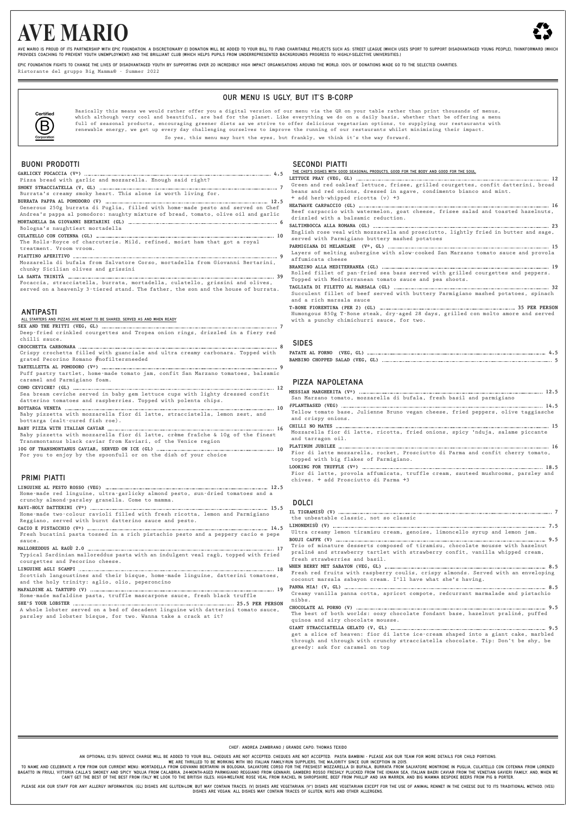# **AVE MARIO**



AVE MARIO IS PROUD OF ITS PARTNERSHIP WITH EPIC FOUNDATION. A DISCRETIONARY EI DONATION WILL BE ADDED TO YOUR BILL TO FUND CHARITABLE PROJECTS SUCH AS: STREET LEAGUE (WHICH USES SPORT TO SUPPORT DISADVANTAGED YOUNG PEOPLE) PROVIDES COACHING TO PREVENT YOUTH UNEMPLOYMENT) AND THE BRILLIANT CLUB (WHICH HELPS PUPILS FROM UNDERREPRESENTED BACKGROUNDS PROGRESS TO HIGHLY-SELECTIVE UNIVERSITIES.)

FPIC FOUNDATION FIGHTS TO CHANGE THE LIVES OF DISADVANTAGED YOUTH BY SUPPORTING OVER 20 INCREDIBLY HIGH IMPACT ORGANISATIONS AROUND THE WORLD. 100% OF DONATIONS MADE GO TO THE SELECTED CHARITIES.

Ristorante del gruppo Big Mamma® - Summer 2022

# OUR MENU IS UGLY, BUT IT'S B-CORP



Basically this means we would rather offer you a digital version of our menu via the QR on your table rather than print thousands of menus, which although very cool and beautiful, are bad for the planet. Like everything we do on a daily basis, whether that be offering a menu full of seasonal products, encouraging greener diets as we strive to offer delicious vegetarian options, to supplying our restaurants with renewable energy, we get up every day challenging ourselves to improve the running of our restaurants whilst minimising their impact.

So yes, this menu may hurt the eyes, but frankly, we think it's the way forward.

## BUONI PRODOTTI

|                                                                                    | <u>THE CHEF'S DISHES WITH GOOD SEASONAL PRODUCTS, GOOD FOR THE BODY AND GOOD FOR THE SOUL.</u> |
|------------------------------------------------------------------------------------|------------------------------------------------------------------------------------------------|
| Pizza bread with garlic and mozzarella. Enough said right?                         |                                                                                                |
|                                                                                    | Green and red oakleaf lettuce, frisee, grilled courgettes, confit datterini, broad             |
| Burrata's creamy smoky heart. This alone is worth living for.                      | beans and red onions, dressed in agave, condimento bianco and mint.                            |
|                                                                                    | + add herb-whipped ricotta (v) +3                                                              |
| Generous 250g burrata di Puglia, filled with home-made pesto and served on Chef    |                                                                                                |
| Andrea's pappa al pomodoro: naughty mixture of bread, tomato, olive oil and garlic | Beef carpaccio with watermelon, goat cheese, frisee salad and toasted hazelnuts,               |
|                                                                                    | drizzled with a balsamic reduction.                                                            |
| Bologna's naughtiest mortadella                                                    |                                                                                                |
|                                                                                    | English rose veal with mozzarella and prosciutto, lightly fried in butter and sage,            |
| The Rolls-Royce of charcuterie. Mild, refined, moist ham that got a royal          | served with Parmigiano buttery mashed potatoes                                                 |
| treatment. Vroom vroom.                                                            |                                                                                                |
|                                                                                    | Layers of melting aubergine with slow-cooked San Marzano tomato sauce and provola              |
| Mozzarella di bufala from Salvatore Corso, mortadella from Giovanni Bertarini.     | affumicata cheese                                                                              |
| chunky Sicilian olives and grissini                                                |                                                                                                |
|                                                                                    | Rolled fillet of pan-fried sea bass served with grilled courgettes and peppers.                |
| Focaccia, stracciatella, burrata, mortadella, culatello, grissini and olives,      | Topped with Mediterranean tomato sauce and pea shoots.                                         |
| served on a heavenly 3-tiered stand. The father, the son and the house of burrata. |                                                                                                |
|                                                                                    | Succulent fillet of beef served with buttery Parmigiano mashed potatoes, spinach               |
|                                                                                    | and a rich marsala sauce                                                                       |
|                                                                                    |                                                                                                |
| <b>ANTIPASTI</b>                                                                   | Humongous 850g T-Bone steak, dry-aged 28 days, grilled con molto amore and served              |
| ALL STARTERS AND PIZZAS ARE MEANT TO BE SHARED, SERVED AS AND WHEN READY           | with a punchy chimichurri sauce, for two.                                                      |
|                                                                                    |                                                                                                |
| Deep-fried crinkled courgettes and Tropea onion rings, drizzled in a fiery red     |                                                                                                |
| chilli sauce.                                                                      |                                                                                                |
|                                                                                    | <b>SIDES</b>                                                                                   |
| Crispy crochetta filled with guanciale and ultra creamy carbonara. Topped with     |                                                                                                |
| grated Pecorino Romano #nofiltersneeded                                            |                                                                                                |
|                                                                                    |                                                                                                |
| Puff pastry tartlet, home-made tomato jam, confit San Marzano tomatoes, balsamic   |                                                                                                |
| caramel and Parmigiano foam.                                                       | PIZZA NAPOLETANA                                                                               |
|                                                                                    |                                                                                                |
|                                                                                    |                                                                                                |
| Sea bream ceviche served in baby gem lettuce cups with lighty dressed confit       |                                                                                                |
| datterino tomatoes and raspberries. Topped with polenta chips.                     | San Marzano tomato, mozzarella di bufala, fresh basil and parmigiano                           |
|                                                                                    |                                                                                                |
| Baby pizzetta with mozzarella fior di latte, stracciatella, lemon zest, and        | Yellow tomato base, Julienne Bruno vegan cheese, fried peppers, olive taggiasche               |
| bottarga (salt-cured fish roe).                                                    | and crispy onions.                                                                             |
|                                                                                    |                                                                                                |
| Baby pizzetta with mozzarella fior di latte, crème fraîche & 10g of the finest     | Mozzarella fior di latte, ricotta, fried onions, spicy 'nduja, salame piccante                 |
|                                                                                    | and tarragon oil.                                                                              |
| Transmontanus black caviar from Kaviari, of the Venice region                      |                                                                                                |
|                                                                                    | Fior di latte mozzarella, rocket, Prosciutto di Parma and confit cherry tomato,                |
| For you to enjoy by the spoonfull or on the dish of your choice                    | topped with big flakes of Parmigiano.                                                          |
|                                                                                    |                                                                                                |
|                                                                                    | Fior di latte, provola affumicata, truffle cream, sauteed mushrooms, parsley and               |
| <b>PRIMI PIATTI</b>                                                                | chives. + add Prosciutto di Parma +3                                                           |
|                                                                                    |                                                                                                |
| Home-made red linguine, ultra-garlicky almond pesto, sun-dried tomatoes and a      |                                                                                                |
| crunchy almond-parsley granella. Come to mamma.                                    |                                                                                                |
|                                                                                    | <b>DOLCI</b>                                                                                   |
| Home-made two-colour ravioli filled with fresh ricotta, lemon and Parmigiano       |                                                                                                |
| Reggiano, served with burnt datterino sauce and pesto.                             | the unbeatable classic, not so classic                                                         |
|                                                                                    |                                                                                                |
| Fresh bucatini pasta tossed in a rich pistachio pesto and a peppery cacio e pepe   | Ultra creamy lemon tiramisu cream, genoise, limoncello syrup and lemon jam.                    |
| sauce.                                                                             |                                                                                                |
|                                                                                    | Trio of minature desserts composed of tiramisu, chocolate mousse with hazelnut                 |
| Typical Sardinian malloreddus pasta with an indulgent veal ragù, topped with fried | praliné and strawberry tartlet with strawberry confit, vanilla whipped cream,                  |
| courgettes and Pecorino cheese.                                                    | fresh strawberries and basil.                                                                  |
|                                                                                    |                                                                                                |
| Scottish langoustines and their bisque, home-made linguine, datterini tomatoes,    | Fresh red fruits with raspberry coulis, crispy almonds. Served with an enveloping              |
| and the holy trinity: aglio, olio, peperoncino                                     | coconut marsala sabayon cream. I'll have what she's having.                                    |
|                                                                                    |                                                                                                |
| Home-made mafaldine pasta, truffle mascarpone sauce, fresh black truffle           | Creamy vanilla panna cotta, apricot compote, redcurrant marmalade and pistachio<br>nibbs.      |

TO NAME AND CELEBRATE A FEW FROM OUR CURRENT MENU: MORTADELLA FROM GIOVANNI BERTARINI IN BOLOGNA, SALVATORE CORSO FOR THE FRESHEST MOZZARELLA DI BUFALA, BURRATA FROM SALVATORE MONTRONE IN PUGLIA, CULATELLO CON COTENNA FROM CAN'T GET THE BEST OF THE BEST FROM ITALY WE LOOK TO THE BRITISH ISLES; HIGH-WELFARE ROSE VEAL FROM RACHEL IN SHROPSHIRE, BEEF FROM PHILLIP AND IAN WARREN, AND BIG MAMMA BESPOKE BEERS FROM PIG & PORTER.

PLEASE ASK OUR STAFF FOR ANY ALLERGY INFORMATION. (GL) DISHES ARE GLUTEN-LOW, BUT MAY CONTAIN TRACES. (V) DISHES ARE VEGETARIAN. (V\*) DISHES ARE VEGETARIAN EXCEPT FOR THE USE OF ANIMAL RENNET IN THE CHEESE DUE TO ITS TRADI DISHES ARE VEGAN. ALL DISHES MAY CONTAIN TRACES OF GLUTEN, NUTS AND OTHER ALLERGENS.

#### SECONDI PIATTI

**SHE'S YOUR LOBSTER 25.5 PER PERSON** A whole lobster served on a bed of decadent linguine with datterini tomato sauce, parsley and lobster bisque, for two. Wanna take a crack at it? **CHOCOLATE AL PORNO (V) 9.5** The best of both worlds: oozy chocolate fondant base, hazelnut praliné, puffed quinoa and airy chocolate mousse. **GIANT STRACCIATELLA GELATO (V, GL) 9.5** get a slice of heaven: fior di latte ice-cream shaped into a giant cake, marbled through and through with crunchy stracciatella chocolate. Tip: Don't be shy, be greedy: ask for caramel on top

CHEF : ANDREA ZAMBRANO / GRANDE CAPO: THOMAS TEXIDO

AN OPTIONAL 12.5% SERVICE CHARGE WILL BE ADDED TO YOUR BILL. CHEQUES ARE NOT ACCEPTED. CHEQUES ARE NOT ACCEPTED. PASTA BAMBINI - PLEASE ASK OUR TEAM FOR MORE DETAILS FOR CHILD PORTIONS.<br>WE ARE THRILLED TO BE WORKING WITH 1